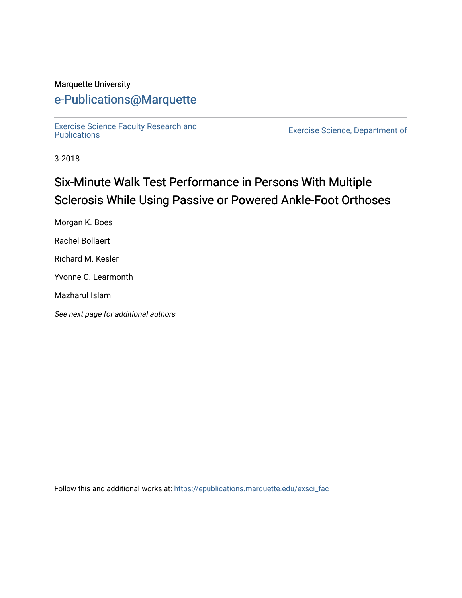#### Marquette University

# [e-Publications@Marquette](https://epublications.marquette.edu/)

[Exercise Science Faculty Research and](https://epublications.marquette.edu/exsci_fac)

Exercise Science, Department of

3-2018

# Six-Minute Walk Test Performance in Persons With Multiple Sclerosis While Using Passive or Powered Ankle-Foot Orthoses

Morgan K. Boes

Rachel Bollaert

Richard M. Kesler

Yvonne C. Learmonth

Mazharul Islam

See next page for additional authors

Follow this and additional works at: [https://epublications.marquette.edu/exsci\\_fac](https://epublications.marquette.edu/exsci_fac?utm_source=epublications.marquette.edu%2Fexsci_fac%2F161&utm_medium=PDF&utm_campaign=PDFCoverPages)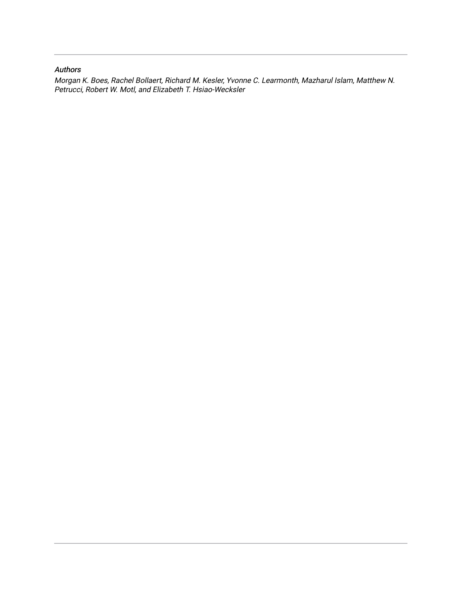#### Authors

Morgan K. Boes, Rachel Bollaert, Richard M. Kesler, Yvonne C. Learmonth, Mazharul Islam, Matthew N. Petrucci, Robert W. Motl, and Elizabeth T. Hsiao-Wecksler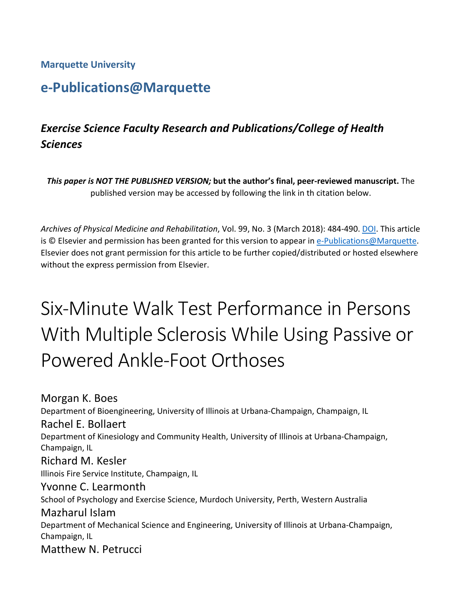**Marquette University**

# **e-Publications@Marquette**

# *Exercise Science Faculty Research and Publications/College of Health Sciences*

*This paper is NOT THE PUBLISHED VERSION;* **but the author's final, peer-reviewed manuscript.** The published version may be accessed by following the link in th citation below.

*Archives of Physical Medicine and Rehabilitation*, Vol. 99, No. 3 (March 2018): 484-490. [DOI.](https://doi.org/10.1016/j.apmr.2017.06.024) This article is © Elsevier and permission has been granted for this version to appear i[n e-Publications@Marquette.](http://epublications.marquette.edu/) Elsevier does not grant permission for this article to be further copied/distributed or hosted elsewhere without the express permission from Elsevier.

# Six-Minute Walk Test Performance in Persons With Multiple Sclerosis While Using Passive or Powered Ankle-Foot Orthoses

Morgan K. Boes Department of Bioengineering, University of Illinois at Urbana-Champaign, Champaign, IL Rachel E. Bollaert Department of Kinesiology and Community Health, University of Illinois at Urbana-Champaign, Champaign, IL Richard M. Kesler Illinois Fire Service Institute, Champaign, IL Yvonne C. Learmonth School of Psychology and Exercise Science, Murdoch University, Perth, Western Australia Mazharul Islam Department of Mechanical Science and Engineering, University of Illinois at Urbana-Champaign, Champaign, IL Matthew N. Petrucci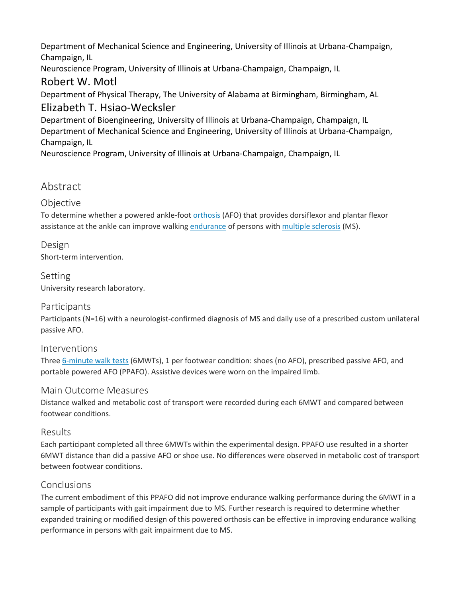Department of Mechanical Science and Engineering, University of Illinois at Urbana-Champaign, Champaign, IL

Neuroscience Program, University of Illinois at Urbana-Champaign, Champaign, IL

## Robert W. Motl

Department of Physical Therapy, The University of Alabama at Birmingham, Birmingham, AL Elizabeth T. Hsiao-Wecksler

Department of Bioengineering, University of Illinois at Urbana-Champaign, Champaign, IL Department of Mechanical Science and Engineering, University of Illinois at Urbana-Champaign, Champaign, IL

Neuroscience Program, University of Illinois at Urbana-Champaign, Champaign, IL

# Abstract

### **Objective**

To determine whether a powered ankle-foot [orthosis](https://0-www-sciencedirect-com.libus.csd.mu.edu/topics/medicine-and-dentistry/orthosis) (AFO) that provides dorsiflexor and plantar flexor assistance at the ankle can improve walking [endurance](https://0-www-sciencedirect-com.libus.csd.mu.edu/topics/medicine-and-dentistry/endurance) of persons with [multiple sclerosis](https://0-www-sciencedirect-com.libus.csd.mu.edu/topics/medicine-and-dentistry/multiple-sclerosis) (MS).

#### Design Short-term intervention.

Setting University research laboratory.

### Participants

Participants (N=16) with a neurologist-confirmed diagnosis of MS and daily use of a prescribed custom unilateral passive AFO.

#### Interventions

Three [6-minute walk tests](https://0-www-sciencedirect-com.libus.csd.mu.edu/topics/medicine-and-dentistry/six-minute-walk-test) (6MWTs), 1 per footwear condition: shoes (no AFO), prescribed passive AFO, and portable powered AFO (PPAFO). Assistive devices were worn on the impaired limb.

#### Main Outcome Measures

Distance walked and metabolic cost of transport were recorded during each 6MWT and compared between footwear conditions.

#### Results

Each participant completed all three 6MWTs within the experimental design. PPAFO use resulted in a shorter 6MWT distance than did a passive AFO or shoe use. No differences were observed in metabolic cost of transport between footwear conditions.

#### Conclusions

The current embodiment of this PPAFO did not improve endurance walking performance during the 6MWT in a sample of participants with gait impairment due to MS. Further research is required to determine whether expanded training or modified design of this powered orthosis can be effective in improving endurance walking performance in persons with gait impairment due to MS.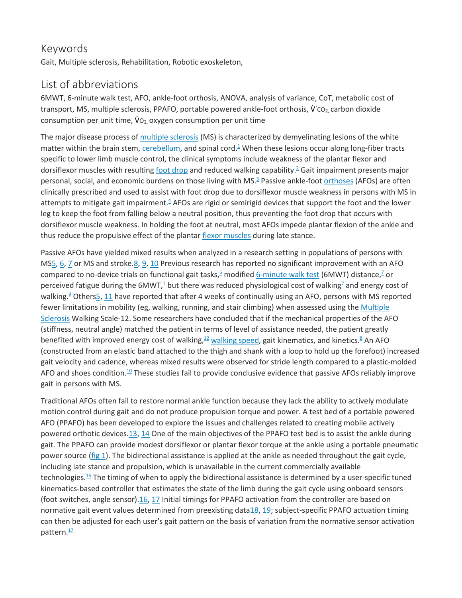### Keywords

Gait, Multiple sclerosis, Rehabilitation, Robotic exoskeleton,

## List of abbreviations

6MWT, 6-minute walk test, AFO, ankle-foot orthosis, ANOVA, analysis of variance, CoT, metabolic cost of transport, MS, multiple sclerosis, PPAFO, portable powered ankle-foot orthosis, V̇ *˙*CO2, carbon dioxide consumption per unit time,  $\mathsf{V}\mathsf{o}_2$  oxygen consumption per unit time

The major disease process of [multiple sclerosis](https://0-www-sciencedirect-com.libus.csd.mu.edu/topics/medicine-and-dentistry/multiple-sclerosis) (MS) is characterized by demyelinating lesions of the white matter within the brain stem, [cerebellum,](https://0-www-sciencedirect-com.libus.csd.mu.edu/topics/medicine-and-dentistry/cerebellum) and spinal cord. $\frac{1}{2}$  When these lesions occur along long-fiber tracts specific to lower limb muscle control, the clinical symptoms include weakness of the plantar flexor and dorsiflexor muscles with resulting [foot drop](https://0-www-sciencedirect-com.libus.csd.mu.edu/topics/medicine-and-dentistry/peroneus-nerve-paralysis) and reduced walking capability.<sup>2</sup> Gait impairment presents major personal, social, and economic burdens on those living with MS[.3](https://0-www-sciencedirect-com.libus.csd.mu.edu/science/article/pii/S000399931730494X#bib3) Passive ankle-foot [orthoses](https://0-www-sciencedirect-com.libus.csd.mu.edu/topics/medicine-and-dentistry/orthosis) (AFOs) are often clinically prescribed and used to assist with foot drop due to dorsiflexor muscle weakness in persons with MS in attempts to mitigate gait impairment. $4$  AFOs are rigid or semirigid devices that support the foot and the lower leg to keep the foot from falling below a neutral position, thus preventing the foot drop that occurs with dorsiflexor muscle weakness. In holding the foot at neutral, most AFOs impede plantar flexion of the ankle and thus reduce the propulsive effect of the plantar [flexor muscles](https://0-www-sciencedirect-com.libus.csd.mu.edu/topics/medicine-and-dentistry/flexor-muscle) during late stance.

Passive AFOs have yielded mixed results when analyzed in a research setting in populations of persons with M[S5,](https://0-www-sciencedirect-com.libus.csd.mu.edu/science/article/pii/S000399931730494X#bib5) [6,](https://0-www-sciencedirect-com.libus.csd.mu.edu/science/article/pii/S000399931730494X#bib6) [7](https://0-www-sciencedirect-com.libus.csd.mu.edu/science/article/pii/S000399931730494X#bib7) or MS and stroke[.8,](https://0-www-sciencedirect-com.libus.csd.mu.edu/science/article/pii/S000399931730494X#bib8) [9,](https://0-www-sciencedirect-com.libus.csd.mu.edu/science/article/pii/S000399931730494X#bib9) [10](https://0-www-sciencedirect-com.libus.csd.mu.edu/science/article/pii/S000399931730494X#bib10) Previous research has reported no significant improvement with an AFO compared to no-device trials on functional gait tasks,  $6 \text{ modified } 6$ -minute walk test (6MWT) distance,  $2 \text{ or } 6$ perceived fatigue during the  $6MWT<sub>i</sub><sup>2</sup>$  but there was reduced physiological cost of walking<sup>2</sup> and energy cost of walking.<sup>9</sup> Others<sub>2</sub>, [11](https://0-www-sciencedirect-com.libus.csd.mu.edu/science/article/pii/S000399931730494X#bib11) have reported that after 4 weeks of continually using an AFO, persons with MS reported fewer limitations in mobility (eg, walking, running, and stair climbing) when assessed using the Multiple [Sclerosis](https://0-www-sciencedirect-com.libus.csd.mu.edu/topics/medicine-and-dentistry/multiple-sclerosis) Walking Scale-12. Some researchers have concluded that if the mechanical properties of the AFO (stiffness, neutral angle) matched the patient in terms of level of assistance needed, the patient greatly benefited with improved energy cost of walking,  $\frac{12}{2}$  [walking speed,](https://0-www-sciencedirect-com.libus.csd.mu.edu/topics/medicine-and-dentistry/walking-speed) gait kinematics, and kinetics.<sup>8</sup> An AFO (constructed from an elastic band attached to the thigh and shank with a loop to hold up the forefoot) increased gait velocity and cadence, whereas mixed results were observed for stride length compared to a plastic-molded AFO and shoes condition.<sup>10</sup> These studies fail to provide conclusive evidence that passive AFOs reliably improve gait in persons with MS.

Traditional AFOs often fail to restore normal ankle function because they lack the ability to actively modulate motion control during gait and do not produce propulsion torque and power. A test bed of a portable powered AFO (PPAFO) has been developed to explore the issues and challenges related to creating mobile actively powered orthotic devices[.13,](https://0-www-sciencedirect-com.libus.csd.mu.edu/science/article/pii/S000399931730494X#bib13) [14](https://0-www-sciencedirect-com.libus.csd.mu.edu/science/article/pii/S000399931730494X#bib14) One of the main objectives of the PPAFO test bed is to assist the ankle during gait. The PPAFO can provide modest dorsiflexor or plantar flexor torque at the ankle using a portable pneumatic power source [\(fig 1\)](https://0-www-sciencedirect-com.libus.csd.mu.edu/science/article/pii/S000399931730494X#fig1). The bidirectional assistance is applied at the ankle as needed throughout the gait cycle, including late stance and propulsion, which is unavailable in the current commercially available technologie[s.15](https://0-www-sciencedirect-com.libus.csd.mu.edu/science/article/pii/S000399931730494X#bib15) The timing of when to apply the bidirectional assistance is determined by a user-specific tuned kinematics-based controller that estimates the state of the limb during the gait cycle using onboard sensors (foot switches, angle sensor)[.16,](https://0-www-sciencedirect-com.libus.csd.mu.edu/science/article/pii/S000399931730494X#bib16) [17](https://0-www-sciencedirect-com.libus.csd.mu.edu/science/article/pii/S000399931730494X#bib17) Initial timings for PPAFO activation from the controller are based on normative gait event values determined from preexisting dat[a18,](https://0-www-sciencedirect-com.libus.csd.mu.edu/science/article/pii/S000399931730494X#bib18) [19;](https://0-www-sciencedirect-com.libus.csd.mu.edu/science/article/pii/S000399931730494X#bib19) subject-specific PPAFO actuation timing can then be adjusted for each user's gait pattern on the basis of variation from the normative sensor activation pattern.<sup>17</sup>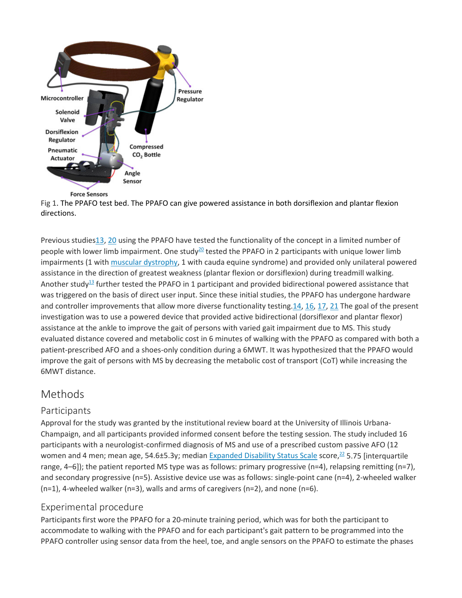



Previous studie[s13,](https://0-www-sciencedirect-com.libus.csd.mu.edu/science/article/pii/S000399931730494X#bib13) [20](https://0-www-sciencedirect-com.libus.csd.mu.edu/science/article/pii/S000399931730494X#bib20) using the PPAFO have tested the functionality of the concept in a limited number of people with lower limb impairment. One study<sup>20</sup> tested the PPAFO in 2 participants with unique lower limb impairments (1 with [muscular dystrophy,](https://0-www-sciencedirect-com.libus.csd.mu.edu/topics/medicine-and-dentistry/muscular-dystrophy) 1 with cauda equine syndrome) and provided only unilateral powered assistance in the direction of greatest weakness (plantar flexion or dorsiflexion) during treadmill walking. Another study<sup>13</sup> further tested the PPAFO in 1 participant and provided bidirectional powered assistance that was triggered on the basis of direct user input. Since these initial studies, the PPAFO has undergone hardware and controller improvements that allow more diverse functionality testing[.14,](https://0-www-sciencedirect-com.libus.csd.mu.edu/science/article/pii/S000399931730494X#bib14) [16,](https://0-www-sciencedirect-com.libus.csd.mu.edu/science/article/pii/S000399931730494X#bib16) [17,](https://0-www-sciencedirect-com.libus.csd.mu.edu/science/article/pii/S000399931730494X#bib17) [21](https://0-www-sciencedirect-com.libus.csd.mu.edu/science/article/pii/S000399931730494X#bib21) The goal of the present investigation was to use a powered device that provided active bidirectional (dorsiflexor and plantar flexor) assistance at the ankle to improve the gait of persons with varied gait impairment due to MS. This study evaluated distance covered and metabolic cost in 6 minutes of walking with the PPAFO as compared with both a patient-prescribed AFO and a shoes-only condition during a 6MWT. It was hypothesized that the PPAFO would improve the gait of persons with MS by decreasing the metabolic cost of transport (CoT) while increasing the 6MWT distance.

### Methods

#### Participants

Approval for the study was granted by the institutional review board at the University of Illinois Urbana-Champaign, and all participants provided informed consent before the testing session. The study included 16 participants with a neurologist-confirmed diagnosis of MS and use of a prescribed custom passive AFO (12 women and 4 men; mean age, 54.6±5.3y; median [Expanded Disability Status Scale](https://0-www-sciencedirect-com.libus.csd.mu.edu/topics/medicine-and-dentistry/expanded-disability-status-scale) score,  $^{22}$  5.75 [interquartile range, 4–6]); the patient reported MS type was as follows: primary progressive (n=4), relapsing remitting (n=7), and secondary progressive (n=5). Assistive device use was as follows: single-point cane (n=4), 2-wheeled walker (n=1), 4-wheeled walker (n=3), walls and arms of caregivers (n=2), and none (n=6).

#### Experimental procedure

Participants first wore the PPAFO for a 20-minute training period, which was for both the participant to accommodate to walking with the PPAFO and for each participant's gait pattern to be programmed into the PPAFO controller using sensor data from the heel, toe, and angle sensors on the PPAFO to estimate the phases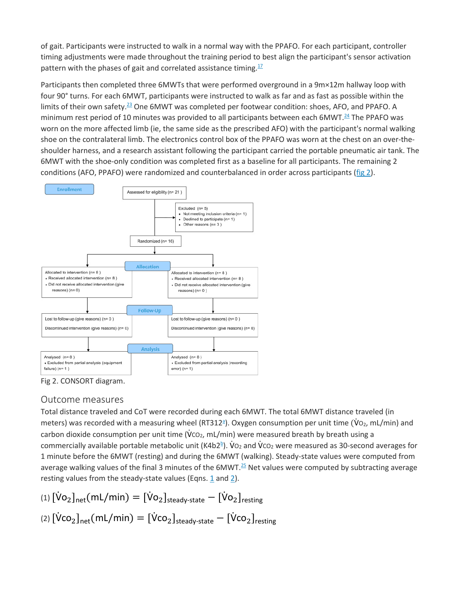of gait. Participants were instructed to walk in a normal way with the PPAFO. For each participant, controller timing adjustments were made throughout the training period to best align the participant's sensor activation pattern with the phases of gait and correlated assistance timing. $17$ 

Participants then completed three 6MWTs that were performed overground in a 9m×12m hallway loop with four 90° turns. For each 6MWT, participants were instructed to walk as far and as fast as possible within the limits of their own safety.<sup>23</sup> One 6MWT was completed per footwear condition: shoes, AFO, and PPAFO. A minimum rest period of 10 minutes was provided to all participants between each 6MWT.<sup>24</sup> The PPAFO was worn on the more affected limb (ie, the same side as the prescribed AFO) with the participant's normal walking shoe on the contralateral limb. The electronics control box of the PPAFO was worn at the chest on an over-theshoulder harness, and a research assistant following the participant carried the portable pneumatic air tank. The 6MWT with the shoe-only condition was completed first as a baseline for all participants. The remaining 2 conditions (AFO, PPAFO) were randomized and counterbalanced in order across participants [\(fig 2\)](https://0-www-sciencedirect-com.libus.csd.mu.edu/science/article/pii/S000399931730494X#fig2).



Fig 2. CONSORT diagram.

### Outcome measures

Total distance traveled and CoT were recorded during each 6MWT. The total 6MWT distance traveled (in meters) was recorded with a measuring wheel (RT312<sup>a</sup>). Oxygen consumption per unit time (V<sub>O2</sub>, mL/min) and carbon dioxide consumption per unit time (Vco<sub>2</sub>, mL/min) were measured breath by breath using a commercially available portable metabolic unit (K4b2<sup>b</sup>). V<sub>O2</sub> and Vc<sub>O2</sub> were measured as 30-second averages for 1 minute before the 6MWT (resting) and during the 6MWT (walking). Steady-state values were computed from average walking values of the final 3 minutes of the  $6MWT<sup>25</sup>$  Net values were computed by subtracting average resting values from the steady-state values (Eqns. [1](https://0-www-sciencedirect-com.libus.csd.mu.edu/science/article/pii/S000399931730494X#fd1) and [2\)](https://0-www-sciencedirect-com.libus.csd.mu.edu/science/article/pii/S000399931730494X#fd2).

(1)  $[\dot{\mathsf{Vo}}_2]_{\mathsf{net}}(\mathsf{mL/min}) = [\dot{\mathsf{Vo}}_2]_{\mathsf{steady\text{-}state}} - [\dot{\mathsf{Vo}}_2]_{\mathsf{resting}}$ (2)  $[\mathsf{Vco}_2]_{\mathsf{net}}(\mathsf{mL/min}) = [\mathsf{Vco}_2]_{\mathsf{steady-state}} - [\mathsf{Vco}_2]_{\mathsf{resting}}$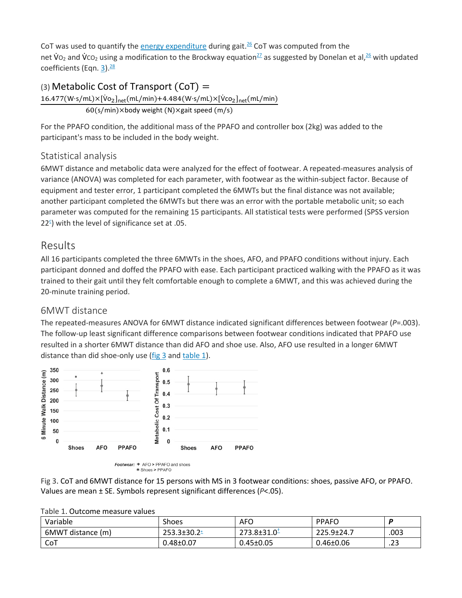CoT was used to quantify the [energy expenditure](https://0-www-sciencedirect-com.libus.csd.mu.edu/topics/medicine-and-dentistry/energy-expenditure) during gait.<sup>26</sup> CoT was computed from the net V<sub>O2</sub> and V<sub>CO2</sub> using a modification to the Brockway equation<sup>27</sup> as suggested by Donelan et al,<sup>26</sup> with updated coefficients (Eqn. [3\)](https://0-www-sciencedirect-com.libus.csd.mu.edu/science/article/pii/S000399931730494X#fd3). $\frac{28}{3}$ 

#### (3) Metabolic Cost of Transport (CoT) =

 $16.477(W\cdot s/mL) \times [Vo_2]_{net}(mL/min) + 4.484(W\cdot s/mL) \times [Vco_2]_{net}(mL/min)$ 60(s/min)×body weight (N)×gait speed (m/s)

For the PPAFO condition, the additional mass of the PPAFO and controller box (2kg) was added to the participant's mass to be included in the body weight.

#### Statistical analysis

6MWT distance and metabolic data were analyzed for the effect of footwear. A repeated-measures analysis of variance (ANOVA) was completed for each parameter, with footwear as the within-subject factor. Because of equipment and tester error, 1 participant completed the 6MWTs but the final distance was not available; another participant completed the 6MWTs but there was an error with the portable metabolic unit; so each parameter was computed for the remaining 15 participants. All statistical tests were performed (SPSS version  $22<sup>5</sup>$ ) with the level of significance set at .05.

## Results

All 16 participants completed the three 6MWTs in the shoes, AFO, and PPAFO conditions without injury. Each participant donned and doffed the PPAFO with ease. Each participant practiced walking with the PPAFO as it was trained to their gait until they felt comfortable enough to complete a 6MWT, and this was achieved during the 20-minute training period.

#### 6MWT distance

The repeated-measures ANOVA for 6MWT distance indicated significant differences between footwear (*P*=.003). The follow-up least significant difference comparisons between footwear conditions indicated that PPAFO use resulted in a shorter 6MWT distance than did AFO and shoe use. Also, AFO use resulted in a longer 6MWT distance than did shoe-only use  $(fig 3$  and [table](https://0-www-sciencedirect-com.libus.csd.mu.edu/science/article/pii/S000399931730494X#tbl1) 1).



Fig 3. CoT and 6MWT distance for 15 persons with MS in 3 footwear conditions: shoes, passive AFO, or PPAFO. Values are mean ± SE. Symbols represent significant differences (*P*<.05).

| able 1. Outcome measure values |                  |                  |                 |       |
|--------------------------------|------------------|------------------|-----------------|-------|
| Variable                       | <b>Shoes</b>     | AFO              | <b>PPAFO</b>    |       |
| 6MWT distance (m)              | $253.3 \pm 30.2$ | $273.8 \pm 31.0$ | 225.9±24.7      | 003   |
| CoT                            | $0.48 \pm 0.07$  | $0.45 \pm 0.05$  | $0.46 \pm 0.06$ | ں ے . |

Table 1. Outcome measure values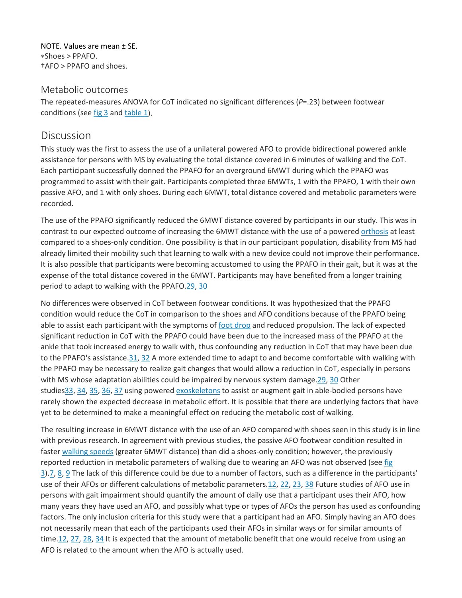NOTE. Values are mean ± SE. ∗Shoes > PPAFO. †AFO > PPAFO and shoes.

#### Metabolic outcomes

The repeated-measures ANOVA for CoT indicated no significant differences (*P*=.23) between footwear conditions (see [fig 3](https://0-www-sciencedirect-com.libus.csd.mu.edu/science/article/pii/S000399931730494X#fig3) and [table](https://0-www-sciencedirect-com.libus.csd.mu.edu/science/article/pii/S000399931730494X#tbl1) 1).

#### Discussion

This study was the first to assess the use of a unilateral powered AFO to provide bidirectional powered ankle assistance for persons with MS by evaluating the total distance covered in 6 minutes of walking and the CoT. Each participant successfully donned the PPAFO for an overground 6MWT during which the PPAFO was programmed to assist with their gait. Participants completed three 6MWTs, 1 with the PPAFO, 1 with their own passive AFO, and 1 with only shoes. During each 6MWT, total distance covered and metabolic parameters were recorded.

The use of the PPAFO significantly reduced the 6MWT distance covered by participants in our study. This was in contrast to our expected outcome of increasing the 6MWT distance with the use of a powered [orthosis](https://0-www-sciencedirect-com.libus.csd.mu.edu/topics/medicine-and-dentistry/orthosis) at least compared to a shoes-only condition. One possibility is that in our participant population, disability from MS had already limited their mobility such that learning to walk with a new device could not improve their performance. It is also possible that participants were becoming accustomed to using the PPAFO in their gait, but it was at the expense of the total distance covered in the 6MWT. Participants may have benefited from a longer training period to adapt to walking with the PPAFO[.29,](https://0-www-sciencedirect-com.libus.csd.mu.edu/science/article/pii/S000399931730494X#bib29) [30](https://0-www-sciencedirect-com.libus.csd.mu.edu/science/article/pii/S000399931730494X#bib30)

No differences were observed in CoT between footwear conditions. It was hypothesized that the PPAFO condition would reduce the CoT in comparison to the shoes and AFO conditions because of the PPAFO being able to assist each participant with the symptoms of [foot drop](https://0-www-sciencedirect-com.libus.csd.mu.edu/topics/medicine-and-dentistry/peroneus-nerve-paralysis) and reduced propulsion. The lack of expected significant reduction in CoT with the PPAFO could have been due to the increased mass of the PPAFO at the ankle that took increased energy to walk with, thus confounding any reduction in CoT that may have been due to the PPAFO's assistance[.31,](https://0-www-sciencedirect-com.libus.csd.mu.edu/science/article/pii/S000399931730494X#bib31) [32](https://0-www-sciencedirect-com.libus.csd.mu.edu/science/article/pii/S000399931730494X#bib32) A more extended time to adapt to and become comfortable with walking with the PPAFO may be necessary to realize gait changes that would allow a reduction in CoT, especially in persons with MS whose adaptation abilities could be impaired by nervous system damage[.29,](https://0-www-sciencedirect-com.libus.csd.mu.edu/science/article/pii/S000399931730494X#bib29) [30](https://0-www-sciencedirect-com.libus.csd.mu.edu/science/article/pii/S000399931730494X#bib30) Other studie[s33,](https://0-www-sciencedirect-com.libus.csd.mu.edu/science/article/pii/S000399931730494X#bib33) [34,](https://0-www-sciencedirect-com.libus.csd.mu.edu/science/article/pii/S000399931730494X#bib34) [35,](https://0-www-sciencedirect-com.libus.csd.mu.edu/science/article/pii/S000399931730494X#bib35) [36,](https://0-www-sciencedirect-com.libus.csd.mu.edu/science/article/pii/S000399931730494X#bib36) [37](https://0-www-sciencedirect-com.libus.csd.mu.edu/science/article/pii/S000399931730494X#bib37) using powered [exoskeletons](https://0-www-sciencedirect-com.libus.csd.mu.edu/topics/medicine-and-dentistry/exoskeleton) to assist or augment gait in able-bodied persons have rarely shown the expected decrease in metabolic effort. It is possible that there are underlying factors that have yet to be determined to make a meaningful effect on reducing the metabolic cost of walking.

The resulting increase in 6MWT distance with the use of an AFO compared with shoes seen in this study is in line with previous research. In agreement with previous studies, the passive AFO footwear condition resulted in faster [walking speeds](https://0-www-sciencedirect-com.libus.csd.mu.edu/topics/medicine-and-dentistry/walking-speed) (greater 6MWT distance) than did a shoes-only condition; however, the previously reported reduction in metabolic parameters of walking due to wearing an AFO was not observed (see [fig](https://0-www-sciencedirect-com.libus.csd.mu.edu/science/article/pii/S000399931730494X#fig3)  [3\)](https://0-www-sciencedirect-com.libus.csd.mu.edu/science/article/pii/S000399931730494X#fig3)[.7,](https://0-www-sciencedirect-com.libus.csd.mu.edu/science/article/pii/S000399931730494X#bib7) [8,](https://0-www-sciencedirect-com.libus.csd.mu.edu/science/article/pii/S000399931730494X#bib8) [9](https://0-www-sciencedirect-com.libus.csd.mu.edu/science/article/pii/S000399931730494X#bib9) The lack of this difference could be due to a number of factors, such as a difference in the participants' use of their AFOs or different calculations of metabolic parameters[.12,](https://0-www-sciencedirect-com.libus.csd.mu.edu/science/article/pii/S000399931730494X#bib12) [22,](https://0-www-sciencedirect-com.libus.csd.mu.edu/science/article/pii/S000399931730494X#bib22) [23,](https://0-www-sciencedirect-com.libus.csd.mu.edu/science/article/pii/S000399931730494X#bib23) [38](https://0-www-sciencedirect-com.libus.csd.mu.edu/science/article/pii/S000399931730494X#bib38) Future studies of AFO use in persons with gait impairment should quantify the amount of daily use that a participant uses their AFO, how many years they have used an AFO, and possibly what type or types of AFOs the person has used as confounding factors. The only inclusion criteria for this study were that a participant had an AFO. Simply having an AFO does not necessarily mean that each of the participants used their AFOs in similar ways or for similar amounts of time[.12,](https://0-www-sciencedirect-com.libus.csd.mu.edu/science/article/pii/S000399931730494X#bib12) [27,](https://0-www-sciencedirect-com.libus.csd.mu.edu/science/article/pii/S000399931730494X#bib27) [28,](https://0-www-sciencedirect-com.libus.csd.mu.edu/science/article/pii/S000399931730494X#bib28) [34](https://0-www-sciencedirect-com.libus.csd.mu.edu/science/article/pii/S000399931730494X#bib34) It is expected that the amount of metabolic benefit that one would receive from using an AFO is related to the amount when the AFO is actually used.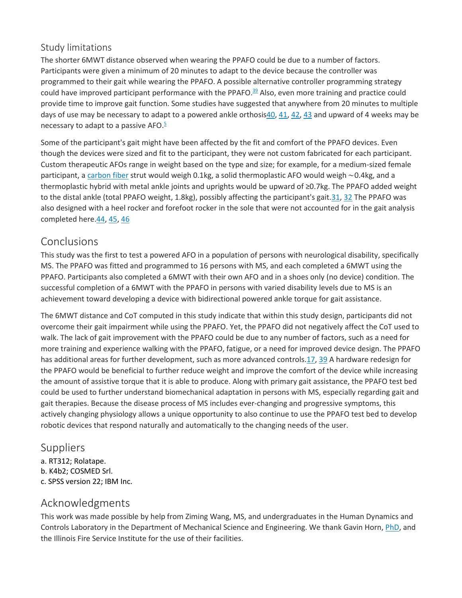#### Study limitations

The shorter 6MWT distance observed when wearing the PPAFO could be due to a number of factors. Participants were given a minimum of 20 minutes to adapt to the device because the controller was programmed to their gait while wearing the PPAFO. A possible alternative controller programming strategy could have improved participant performance with the PPAFO.<sup>39</sup> Also, even more training and practice could provide time to improve gait function. Some studies have suggested that anywhere from 20 minutes to multiple days of use may be necessary to adapt to a powered ankle orthosis $40$ ,  $41$ ,  $42$ ,  $43$  and upward of 4 weeks may be necessary to adapt to a passive AFO. $5$ 

Some of the participant's gait might have been affected by the fit and comfort of the PPAFO devices. Even though the devices were sized and fit to the participant, they were not custom fabricated for each participant. Custom therapeutic AFOs range in weight based on the type and size; for example, for a medium-sized female participant, a [carbon fiber](https://0-www-sciencedirect-com.libus.csd.mu.edu/topics/medicine-and-dentistry/carbon-fiber) strut would weigh 0.1kg, a solid thermoplastic AFO would weigh ∼0.4kg, and a thermoplastic hybrid with metal ankle joints and uprights would be upward of ≥0.7kg. The PPAFO added weight to the distal ankle (total PPAFO weight, 1.8kg), possibly affecting the participant's gait[.31,](https://0-www-sciencedirect-com.libus.csd.mu.edu/science/article/pii/S000399931730494X#bib31) [32](https://0-www-sciencedirect-com.libus.csd.mu.edu/science/article/pii/S000399931730494X#bib32) The PPAFO was also designed with a heel rocker and forefoot rocker in the sole that were not accounted for in the gait analysis completed here[.44,](https://0-www-sciencedirect-com.libus.csd.mu.edu/science/article/pii/S000399931730494X#bib44) [45,](https://0-www-sciencedirect-com.libus.csd.mu.edu/science/article/pii/S000399931730494X#bib45) [46](https://0-www-sciencedirect-com.libus.csd.mu.edu/science/article/pii/S000399931730494X#bib46)

## Conclusions

This study was the first to test a powered AFO in a population of persons with neurological disability, specifically MS. The PPAFO was fitted and programmed to 16 persons with MS, and each completed a 6MWT using the PPAFO. Participants also completed a 6MWT with their own AFO and in a shoes only (no device) condition. The successful completion of a 6MWT with the PPAFO in persons with varied disability levels due to MS is an achievement toward developing a device with bidirectional powered ankle torque for gait assistance.

The 6MWT distance and CoT computed in this study indicate that within this study design, participants did not overcome their gait impairment while using the PPAFO. Yet, the PPAFO did not negatively affect the CoT used to walk. The lack of gait improvement with the PPAFO could be due to any number of factors, such as a need for more training and experience walking with the PPAFO, fatigue, or a need for improved device design. The PPAFO has additional areas for further development, such as more advanced controls[.17,](https://0-www-sciencedirect-com.libus.csd.mu.edu/science/article/pii/S000399931730494X#bib17) [39](https://0-www-sciencedirect-com.libus.csd.mu.edu/science/article/pii/S000399931730494X#bib39) A hardware redesign for the PPAFO would be beneficial to further reduce weight and improve the comfort of the device while increasing the amount of assistive torque that it is able to produce. Along with primary gait assistance, the PPAFO test bed could be used to further understand biomechanical adaptation in persons with MS, especially regarding gait and gait therapies. Because the disease process of MS includes ever-changing and progressive symptoms, this actively changing physiology allows a unique opportunity to also continue to use the PPAFO test bed to develop robotic devices that respond naturally and automatically to the changing needs of the user.

### Suppliers

a. RT312; Rolatape. b. K4b2; COSMED Srl. c. SPSS version 22; IBM Inc.

# Acknowledgments

This work was made possible by help from Ziming Wang, MS, and undergraduates in the Human Dynamics and Controls Laboratory in the Department of Mechanical Science and Engineering. We thank Gavin Horn, *PhD*, and the Illinois Fire Service Institute for the use of their facilities.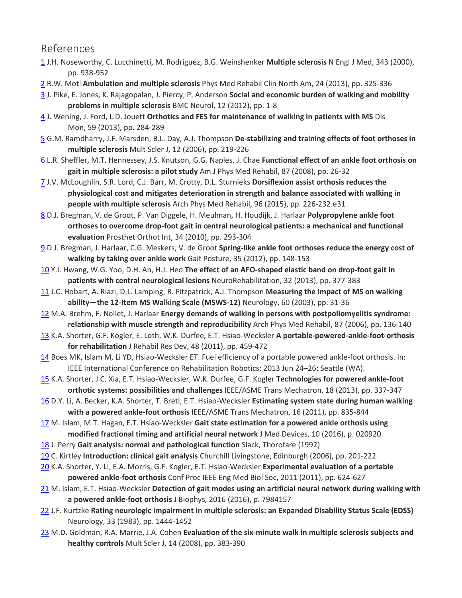### References

- [1](https://www.sciencedirect.com/science/article/pii/S000399931730494X?via%3Dihub#bbib1) J.H. Noseworthy, C. Lucchinetti, M. Rodriguez, B.G. Weinshenker **Multiple sclerosis** N Engl J Med, 343 (2000), pp. 938-952
- [2](https://www.sciencedirect.com/science/article/pii/S000399931730494X?via%3Dihub#bbib2) R.W. Motl **Ambulation and multiple sclerosis** Phys Med Rehabil Clin North Am, 24 (2013), pp. 325-336
- [3](https://www.sciencedirect.com/science/article/pii/S000399931730494X?via%3Dihub#bbib3) J. Pike, E. Jones, K. Rajagopalan, J. Piercy, P. Anderson **Social and economic burden of walking and mobility problems in multiple sclerosis** BMC Neurol, 12 (2012), pp. 1-8
- [4](https://www.sciencedirect.com/science/article/pii/S000399931730494X?via%3Dihub#bbib4) J. Wening, J. Ford, L.D. Jouett **Orthotics and FES for maintenance of walking in patients with MS** Dis Mon, 59 (2013), pp. 284-289
- [5](https://www.sciencedirect.com/science/article/pii/S000399931730494X?via%3Dihub#bbib5) G.M. Ramdharry, J.F. Marsden, B.L. Day, A.J. Thompson **De-stabilizing and training effects of foot orthoses in multiple sclerosis** Mult Scler J, 12 (2006), pp. 219-226
- [6](https://www.sciencedirect.com/science/article/pii/S000399931730494X?via%3Dihub#bbib6) L.R. Sheffler, M.T. Hennessey, J.S. Knutson, G.G. Naples, J. Chae **Functional effect of an ankle foot orthosis on gait in multiple sclerosis: a pilot study** Am J Phys Med Rehabil, 87 (2008), pp. 26-32
- [7](https://www.sciencedirect.com/science/article/pii/S000399931730494X?via%3Dihub#bbib7) J.V. McLoughlin, S.R. Lord, C.J. Barr, M. Crotty, D.L. Sturnieks **Dorsiflexion assist orthosis reduces the physiological cost and mitigates deterioration in strength and balance associated with walking in people with multiple sclerosis** Arch Phys Med Rehabil, 96 (2015), pp. 226-232.e31
- [8](https://www.sciencedirect.com/science/article/pii/S000399931730494X?via%3Dihub#bbib8) D.J. Bregman, V. de Groot, P. Van Diggele, H. Meulman, H. Houdijk, J. Harlaar **Polypropylene ankle foot orthoses to overcome drop-foot gait in central neurological patients: a mechanical and functional evaluation** Prosthet Orthot Int, 34 (2010), pp. 293-304
- [9](https://www.sciencedirect.com/science/article/pii/S000399931730494X?via%3Dihub#bbib9) D.J. Bregman, J. Harlaar, C.G. Meskers, V. de Groot **Spring-like ankle foot orthoses reduce the energy cost of walking by taking over ankle work** Gait Posture, 35 (2012), pp. 148-153
- [10](https://www.sciencedirect.com/science/article/pii/S000399931730494X?via%3Dihub#bbib10) Y.I. Hwang, W.G. Yoo, D.H. An, H.J. Heo **The effect of an AFO-shaped elastic band on drop-foot gait in patients with central neurological lesions** NeuroRehabilitation, 32 (2013), pp. 377-383
- [11](https://www.sciencedirect.com/science/article/pii/S000399931730494X?via%3Dihub#bbib11) J.C. Hobart, A. Riazi, D.L. Lamping, R. Fitzpatrick, A.J. Thompson **Measuring the impact of MS on walking ability—the 12-Item MS Walking Scale (MSWS-12)** Neurology, 60 (2003), pp. 31-36
- [12](https://www.sciencedirect.com/science/article/pii/S000399931730494X?via%3Dihub#bbib12) M.A. Brehm, F. Nollet, J. Harlaar **Energy demands of walking in persons with postpoliomyelitis syndrome: relationship with muscle strength and reproducibility** Arch Phys Med Rehabil, 87 (2006), pp. 136-140
- [13](https://www.sciencedirect.com/science/article/pii/S000399931730494X?via%3Dihub#bbib13) K.A. Shorter, G.F. Kogler, E. Loth, W.K. Durfee, E.T. Hsiao-Wecksler **A portable-powered-ankle-foot-orthosis for rehabilitation** J Rehabil Res Dev, 48 (2011), pp. 459-472
- [14](https://www.sciencedirect.com/science/article/pii/S000399931730494X?via%3Dihub#bbib14) Boes MK, Islam M, Li YD, Hsiao-Wecksler ET. Fuel efficiency of a portable powered ankle-foot orthosis. In: IEEE International Conference on Rehabilitation Robotics; 2013 Jun 24–26; Seattle (WA).
- [15](https://www.sciencedirect.com/science/article/pii/S000399931730494X?via%3Dihub#bbib15) K.A. Shorter, J.C. Xia, E.T. Hsiao-Wecksler, W.K. Durfee, G.F. Kogler **Technologies for powered ankle-foot orthotic systems: possibilities and challenges** IEEE/ASME Trans Mechatron, 18 (2013), pp. 337-347
- [16](https://www.sciencedirect.com/science/article/pii/S000399931730494X?via%3Dihub#bbib16) D.Y. Li, A. Becker, K.A. Shorter, T. Bretl, E.T. Hsiao-Wecksler **Estimating system state during human walking with a powered ankle-foot orthosis** IEEE/ASME Trans Mechatron, 16 (2011), pp. 835-844
- [17](https://www.sciencedirect.com/science/article/pii/S000399931730494X?via%3Dihub#bbib17) M. Islam, M.T. Hagan, E.T. Hsiao-Wecksler **Gait state estimation for a powered ankle orthosis using modified fractional timing and artificial neural network** J Med Devices, 10 (2016), p. 020920
- [18](https://www.sciencedirect.com/science/article/pii/S000399931730494X?via%3Dihub#bbib18) J. Perry **Gait analysis: normal and pathological function** Slack, Thorofare (1992)
- [19](https://www.sciencedirect.com/science/article/pii/S000399931730494X?via%3Dihub#bbib19) C. Kirtley **Introduction: clinical gait analysis** Churchill Livingstone, Edinburgh (2006), pp. 201-222
- [20](https://www.sciencedirect.com/science/article/pii/S000399931730494X?via%3Dihub#bbib20) K.A. Shorter, Y. Li, E.A. Morris, G.F. Kogler, E.T. Hsiao-Wecksler **Experimental evaluation of a portable powered ankle-foot orthosis** Conf Proc IEEE Eng Med Biol Soc, 2011 (2011), pp. 624-627
- [21](https://www.sciencedirect.com/science/article/pii/S000399931730494X?via%3Dihub#bbib21) M. Islam, E.T. Hsiao-Wecksler **Detection of gait modes using an artificial neural network during walking with a powered ankle-foot orthosis** J Biophys, 2016 (2016), p. 7984157
- [22](https://www.sciencedirect.com/science/article/pii/S000399931730494X?via%3Dihub#bbib22) J.F. Kurtzke **Rating neurologic impairment in multiple sclerosis: an Expanded Disability Status Scale (EDSS)** Neurology, 33 (1983), pp. 1444-1452
- [23](https://www.sciencedirect.com/science/article/pii/S000399931730494X?via%3Dihub#bbib23) M.D. Goldman, R.A. Marrie, J.A. Cohen **Evaluation of the six-minute walk in multiple sclerosis subjects and healthy controls** Mult Scler J, 14 (2008), pp. 383-390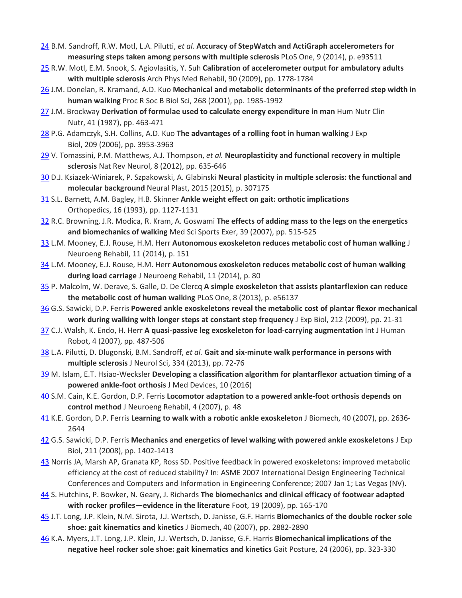- [24](https://www.sciencedirect.com/science/article/pii/S000399931730494X?via%3Dihub#bbib24) B.M. Sandroff, R.W. Motl, L.A. Pilutti, *et al.* **Accuracy of StepWatch and ActiGraph accelerometers for measuring steps taken among persons with multiple sclerosis** PLoS One, 9 (2014), p. e93511
- [25](https://www.sciencedirect.com/science/article/pii/S000399931730494X?via%3Dihub#bbib25) R.W. Motl, E.M. Snook, S. Agiovlasitis, Y. Suh **Calibration of accelerometer output for ambulatory adults with multiple sclerosis** Arch Phys Med Rehabil, 90 (2009), pp. 1778-1784
- [26](https://www.sciencedirect.com/science/article/pii/S000399931730494X?via%3Dihub#bbib26) J.M. Donelan, R. Kramand, A.D. Kuo **Mechanical and metabolic determinants of the preferred step width in human walking** Proc R Soc B Biol Sci, 268 (2001), pp. 1985-1992
- [27](https://www.sciencedirect.com/science/article/pii/S000399931730494X?via%3Dihub#bbib27) J.M. Brockway **Derivation of formulae used to calculate energy expenditure in man** Hum Nutr Clin Nutr, 41 (1987), pp. 463-471
- [28](https://www.sciencedirect.com/science/article/pii/S000399931730494X?via%3Dihub#bbib28) P.G. Adamczyk, S.H. Collins, A.D. Kuo **The advantages of a rolling foot in human walking** J Exp Biol, 209 (2006), pp. 3953-3963
- [29](https://www.sciencedirect.com/science/article/pii/S000399931730494X?via%3Dihub#bbib29) V. Tomassini, P.M. Matthews, A.J. Thompson, *et al.* **Neuroplasticity and functional recovery in multiple sclerosis** Nat Rev Neurol, 8 (2012), pp. 635-646
- [30](https://www.sciencedirect.com/science/article/pii/S000399931730494X?via%3Dihub#bbib30) D.J. Ksiazek-Winiarek, P. Szpakowski, A. Glabinski **Neural plasticity in multiple sclerosis: the functional and molecular background** Neural Plast, 2015 (2015), p. 307175
- [31](https://www.sciencedirect.com/science/article/pii/S000399931730494X?via%3Dihub#bbib31) S.L. Barnett, A.M. Bagley, H.B. Skinner **Ankle weight effect on gait: orthotic implications** Orthopedics, 16 (1993), pp. 1127-1131
- [32](https://www.sciencedirect.com/science/article/pii/S000399931730494X?via%3Dihub#bbib32) R.C. Browning, J.R. Modica, R. Kram, A. Goswami **The effects of adding mass to the legs on the energetics and biomechanics of walking** Med Sci Sports Exer, 39 (2007), pp. 515-525
- [33](https://www.sciencedirect.com/science/article/pii/S000399931730494X?via%3Dihub#bbib33) L.M. Mooney, E.J. Rouse, H.M. Herr **Autonomous exoskeleton reduces metabolic cost of human walking** J Neuroeng Rehabil, 11 (2014), p. 151
- [34](https://www.sciencedirect.com/science/article/pii/S000399931730494X?via%3Dihub#bbib34) L.M. Mooney, E.J. Rouse, H.M. Herr **Autonomous exoskeleton reduces metabolic cost of human walking during load carriage** J Neuroeng Rehabil, 11 (2014), p. 80
- [35](https://www.sciencedirect.com/science/article/pii/S000399931730494X?via%3Dihub#bbib35) P. Malcolm, W. Derave, S. Galle, D. De Clercq **A simple exoskeleton that assists plantarflexion can reduce the metabolic cost of human walking** PLoS One, 8 (2013), p. e56137
- [36](https://www.sciencedirect.com/science/article/pii/S000399931730494X?via%3Dihub#bbib36) G.S. Sawicki, D.P. Ferris **Powered ankle exoskeletons reveal the metabolic cost of plantar flexor mechanical work during walking with longer steps at constant step frequency** J Exp Biol, 212 (2009), pp. 21-31
- [37](https://www.sciencedirect.com/science/article/pii/S000399931730494X?via%3Dihub#bbib37) C.J. Walsh, K. Endo, H. Herr **A quasi-passive leg exoskeleton for load-carrying augmentation** Int J Human Robot, 4 (2007), pp. 487-506
- [38](https://www.sciencedirect.com/science/article/pii/S000399931730494X?via%3Dihub#bbib38) L.A. Pilutti, D. Dlugonski, B.M. Sandroff, *et al.* **Gait and six-minute walk performance in persons with multiple sclerosis** J Neurol Sci, 334 (2013), pp. 72-76
- [39](https://www.sciencedirect.com/science/article/pii/S000399931730494X?via%3Dihub#bbib39) M. Islam, E.T. Hsiao-Wecksler **Developing a classification algorithm for plantarflexor actuation timing of a powered ankle-foot orthosis** J Med Devices, 10 (2016)
- [40](https://www.sciencedirect.com/science/article/pii/S000399931730494X?via%3Dihub#bbib40) S.M. Cain, K.E. Gordon, D.P. Ferris **Locomotor adaptation to a powered ankle-foot orthosis depends on control method** J Neuroeng Rehabil, 4 (2007), p. 48
- [41](https://www.sciencedirect.com/science/article/pii/S000399931730494X?via%3Dihub#bbib41) K.E. Gordon, D.P. Ferris **Learning to walk with a robotic ankle exoskeleton** J Biomech, 40 (2007), pp. 2636- 2644
- [42](https://www.sciencedirect.com/science/article/pii/S000399931730494X?via%3Dihub#bbib42) G.S. Sawicki, D.P. Ferris **Mechanics and energetics of level walking with powered ankle exoskeletons** J Exp Biol, 211 (2008), pp. 1402-1413
- [43](https://www.sciencedirect.com/science/article/pii/S000399931730494X?via%3Dihub#bbib43) Norris JA, Marsh AP, Granata KP, Ross SD. Positive feedback in powered exoskeletons: improved metabolic efficiency at the cost of reduced stability? In: ASME 2007 International Design Engineering Technical Conferences and Computers and Information in Engineering Conference; 2007 Jan 1; Las Vegas (NV).
- [44](https://www.sciencedirect.com/science/article/pii/S000399931730494X?via%3Dihub#bbib44) S. Hutchins, P. Bowker, N. Geary, J. Richards **The biomechanics and clinical efficacy of footwear adapted with rocker profiles—evidence in the literature** Foot, 19 (2009), pp. 165-170
- [45](https://www.sciencedirect.com/science/article/pii/S000399931730494X?via%3Dihub#bbib45) J.T. Long, J.P. Klein, N.M. Sirota, J.J. Wertsch, D. Janisse, G.F. Harris **Biomechanics of the double rocker sole shoe: gait kinematics and kinetics** J Biomech, 40 (2007), pp. 2882-2890
- [46](https://www.sciencedirect.com/science/article/pii/S000399931730494X?via%3Dihub#bbib46) K.A. Myers, J.T. Long, J.P. Klein, J.J. Wertsch, D. Janisse, G.F. Harris **Biomechanical implications of the negative heel rocker sole shoe: gait kinematics and kinetics** Gait Posture, 24 (2006), pp. 323-330